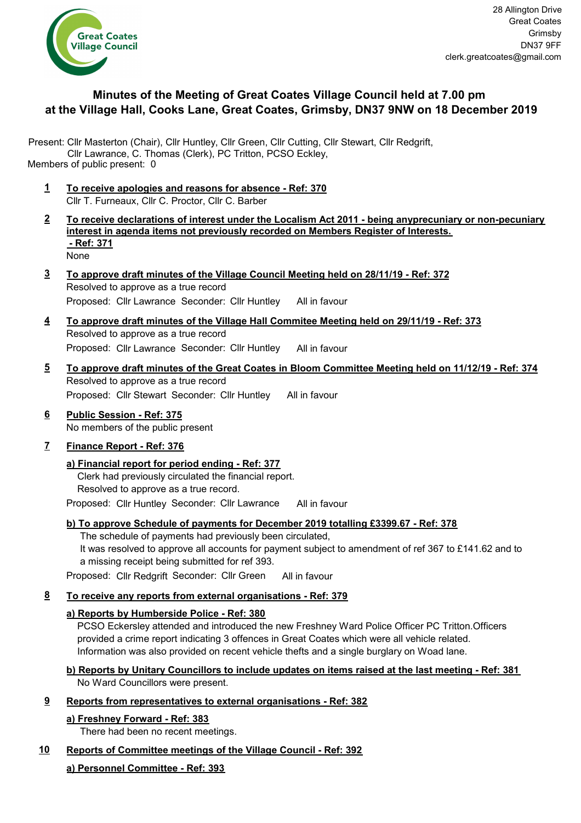

# **Minutes of the Meeting of Great Coates Village Council held at 7.00 pm at the Village Hall, Cooks Lane, Great Coates, Grimsby, DN37 9NW on 18 December 2019**

Present: Cllr Masterton (Chair), Cllr Huntley, Cllr Green, Cllr Cutting, Cllr Stewart, Cllr Redgrift, Cllr Lawrance, C. Thomas (Clerk), PC Tritton, PCSO Eckley, Members of public present: 0

- **1 To receive apologies and reasons for absence Ref: 370** Cllr T. Furneaux, Cllr C. Proctor, Cllr C. Barber
- **2 To receive declarations of interest under the Localism Act 2011 being anyprecuniary or non-pecuniary interest in agenda items not previously recorded on Members Register of Interests. - Ref: 371** None
- **3 To approve draft minutes of the Village Council Meeting held on 28/11/19 Ref: 372** Resolved to approve as a true record Proposed: Cllr Lawrance Seconder: Cllr Huntley All in favour
- **4 To approve draft minutes of the Village Hall Commitee Meeting held on 29/11/19 Ref: 373** Resolved to approve as a true record Proposed: Cllr Lawrance Seconder: Cllr Huntley All in favour
- **5 To approve draft minutes of the Great Coates in Bloom Committee Meeting held on 11/12/19 Ref: 374** Resolved to approve as a true record Proposed: Cllr Stewart Seconder: Cllr Huntley All in favour
- **6 Public Session Ref: 375** No members of the public present

## **7 Finance Report - Ref: 376**

## **a) Financial report for period ending - Ref: 377**

Clerk had previously circulated the financial report. Resolved to approve as a true record.

Proposed: Cllr Huntley Seconder: Cllr Lawrance All in favour

## **b) To approve Schedule of payments for December 2019 totalling £3399.67 - Ref: 378**

The schedule of payments had previously been circulated,

It was resolved to approve all accounts for payment subject to amendment of ref 367 to £141.62 and to a missing receipt being submitted for ref 393.

Proposed: Cllr Redgrift Seconder: Cllr Green All in favour

## **8 To receive any reports from external organisations - Ref: 379**

## **a) Reports by Humberside Police - Ref: 380**

PCSO Eckersley attended and introduced the new Freshney Ward Police Officer PC Tritton.Officers provided a crime report indicating 3 offences in Great Coates which were all vehicle related. Information was also provided on recent vehicle thefts and a single burglary on Woad lane.

## **b) Reports by Unitary Councillors to include updates on items raised at the last meeting - Ref: 381** No Ward Councillors were present.

**9 Reports from representatives to external organisations - Ref: 382**

## **a) Freshney Forward - Ref: 383**

There had been no recent meetings.

## **10 Reports of Committee meetings of the Village Council - Ref: 392**

## **a) Personnel Committee - Ref: 393**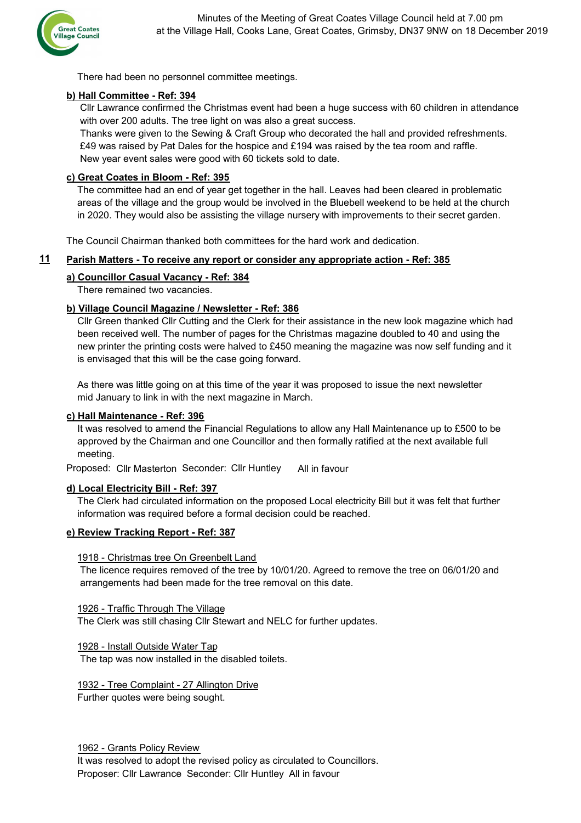

There had been no personnel committee meetings.

### **b) Hall Committee - Ref: 394**

Cllr Lawrance confirmed the Christmas event had been a huge success with 60 children in attendance with over 200 adults. The tree light on was also a great success.

Thanks were given to the Sewing & Craft Group who decorated the hall and provided refreshments. £49 was raised by Pat Dales for the hospice and £194 was raised by the tea room and raffle. New year event sales were good with 60 tickets sold to date.

### **c) Great Coates in Bloom - Ref: 395**

The committee had an end of year get together in the hall. Leaves had been cleared in problematic areas of the village and the group would be involved in the Bluebell weekend to be held at the church in 2020. They would also be assisting the village nursery with improvements to their secret garden.

The Council Chairman thanked both committees for the hard work and dedication.

#### **11 Parish Matters - To receive any report or consider any appropriate action - Ref: 385**

### **a) Councillor Casual Vacancy - Ref: 384**

There remained two vacancies.

### **b) Village Council Magazine / Newsletter - Ref: 386**

Cllr Green thanked Cllr Cutting and the Clerk for their assistance in the new look magazine which had been received well. The number of pages for the Christmas magazine doubled to 40 and using the new printer the printing costs were halved to £450 meaning the magazine was now self funding and it is envisaged that this will be the case going forward.

As there was little going on at this time of the year it was proposed to issue the next newsletter mid January to link in with the next magazine in March.

#### **c) Hall Maintenance - Ref: 396**

It was resolved to amend the Financial Regulations to allow any Hall Maintenance up to £500 to be approved by the Chairman and one Councillor and then formally ratified at the next available full meeting.

Proposed: Cllr Masterton Seconder: Cllr Huntley All in favour

#### **d) Local Electricity Bill - Ref: 397**

The Clerk had circulated information on the proposed Local electricity Bill but it was felt that further information was required before a formal decision could be reached.

### **e) Review Tracking Report - Ref: 387**

#### 1918 - Christmas tree On Greenbelt Land

The licence requires removed of the tree by 10/01/20. Agreed to remove the tree on 06/01/20 and arrangements had been made for the tree removal on this date.

1926 - Traffic Through The Village The Clerk was still chasing Cllr Stewart and NELC for further updates.

1928 - Install Outside Water Tap

The tap was now installed in the disabled toilets.

1932 - Tree Complaint - 27 Allington Drive Further quotes were being sought.

1962 - Grants Policy Review

It was resolved to adopt the revised policy as circulated to Councillors. Proposer: Cllr Lawrance Seconder: Cllr Huntley All in favour